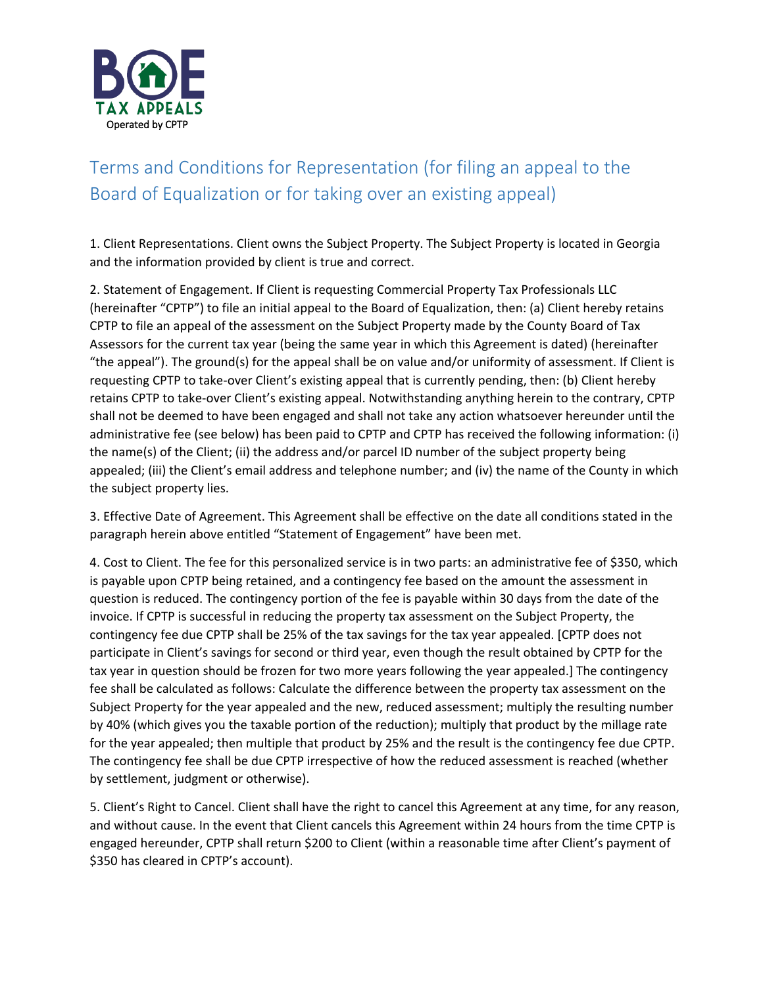

## Terms and Conditions for Representation (for filing an appeal to the Board of Equalization or for taking over an existing appeal)

1. Client Representations. Client owns the Subject Property. The Subject Property is located in Georgia and the information provided by client is true and correct.

2. Statement of Engagement. If Client is requesting Commercial Property Tax Professionals LLC (hereinafter "CPTP") to file an initial appeal to the Board of Equalization, then: (a) Client hereby retains CPTP to file an appeal of the assessment on the Subject Property made by the County Board of Tax Assessors for the current tax year (being the same year in which this Agreement is dated) (hereinafter "the appeal"). The ground(s) for the appeal shall be on value and/or uniformity of assessment. If Client is requesting CPTP to take-over Client's existing appeal that is currently pending, then: (b) Client hereby retains CPTP to take-over Client's existing appeal. Notwithstanding anything herein to the contrary, CPTP shall not be deemed to have been engaged and shall not take any action whatsoever hereunder until the administrative fee (see below) has been paid to CPTP and CPTP has received the following information: (i) the name(s) of the Client; (ii) the address and/or parcel ID number of the subject property being appealed; (iii) the Client's email address and telephone number; and (iv) the name of the County in which the subject property lies.

3. Effective Date of Agreement. This Agreement shall be effective on the date all conditions stated in the paragraph herein above entitled "Statement of Engagement" have been met.

4. Cost to Client. The fee for this personalized service is in two parts: an administrative fee of \$350, which is payable upon CPTP being retained, and a contingency fee based on the amount the assessment in question is reduced. The contingency portion of the fee is payable within 30 days from the date of the invoice. If CPTP is successful in reducing the property tax assessment on the Subject Property, the contingency fee due CPTP shall be 25% of the tax savings for the tax year appealed. [CPTP does not participate in Client's savings for second or third year, even though the result obtained by CPTP for the tax year in question should be frozen for two more years following the year appealed.] The contingency fee shall be calculated as follows: Calculate the difference between the property tax assessment on the Subject Property for the year appealed and the new, reduced assessment; multiply the resulting number by 40% (which gives you the taxable portion of the reduction); multiply that product by the millage rate for the year appealed; then multiple that product by 25% and the result is the contingency fee due CPTP. The contingency fee shall be due CPTP irrespective of how the reduced assessment is reached (whether by settlement, judgment or otherwise).

5. Client's Right to Cancel. Client shall have the right to cancel this Agreement at any time, for any reason, and without cause. In the event that Client cancels this Agreement within 24 hours from the time CPTP is engaged hereunder, CPTP shall return \$200 to Client (within a reasonable time after Client's payment of \$350 has cleared in CPTP's account).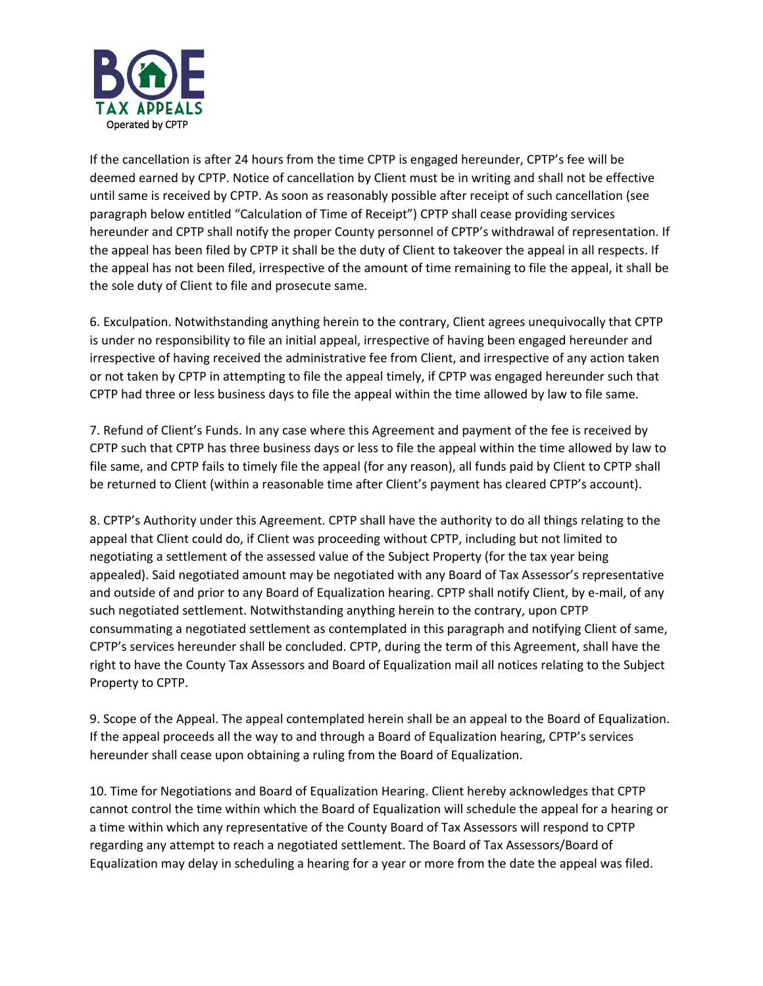

If the cancellation is after 24 hours from the time CPTP is engaged hereunder, CPTP's fee will be deemed earned by CPTP. Notice of cancellation by Client must be in writing and shall not be effective until same is received by CPTP. As soon as reasonably possible after receipt of such cancellation (see paragraph below entitled "Calculation of Time of Receipt") CPTP shall cease providing services hereunder and CPTP shall notify the proper County personnel of CPTP's withdrawal of representation. If the appeal has been filed by CPTP it shall be the duty of Client to takeover the appeal in all respects. If the appeal has not been filed, irrespective of the amount of time remaining to file the appeal, it shall be the sole duty of Client to file and prosecute same.

6. Exculpation. Notwithstanding anything herein to the contrary, Client agrees unequivocally that CPTP is under no responsibility to file an initial appeal, irrespective of having been engaged hereunder and irrespective of having received the administrative fee from Client, and irrespective of any action taken or not taken by CPTP in attempting to file the appeal timely, if CPTP was engaged hereunder such that CPTP had three or less business days to file the appeal within the time allowed by law to file same.

7. Refund of Client's Funds. In any case where this Agreement and payment of the fee is received by CPTP such that CPTP has three business days or less to file the appeal within the time allowed by law to file same, and CPTP fails to timely file the appeal (for any reason), all funds paid by Client to CPTP shall be returned to Client (within a reasonable time after Client's payment has cleared CPTP's account).

8. CPTP's Authority under this Agreement. CPTP shall have the authority to do all things relating to the appeal that Client could do, if Client was proceeding without CPTP, including but not limited to negotiating a settlement of the assessed value of the Subject Property (for the tax year being appealed). Said negotiated amount may be negotiated with any Board of Tax Assessor's representative and outside of and prior to any Board of Equalization hearing. CPTP shall notify Client, by e-mail, of any such negotiated settlement. Notwithstanding anything herein to the contrary, upon CPTP consummating a negotiated settlement as contemplated in this paragraph and notifying Client of same, CPTP's services hereunder shall be concluded. CPTP, during the term of this Agreement, shall have the right to have the County Tax Assessors and Board of Equalization mail all notices relating to the Subject Property to CPTP.

9. Scope of the Appeal. The appeal contemplated herein shall be an appeal to the Board of Equalization. If the appeal proceeds all the way to and through a Board of Equalization hearing, CPTP's services hereunder shall cease upon obtaining a ruling from the Board of Equalization.

10. Time for Negotiations and Board of Equalization Hearing. Client hereby acknowledges that CPTP cannot control the time within which the Board of Equalization will schedule the appeal for a hearing or a time within which any representative of the County Board of Tax Assessors will respond to CPTP regarding any attempt to reach a negotiated settlement. The Board of Tax Assessors/Board of Equalization may delay in scheduling a hearing for a year or more from the date the appeal was filed.